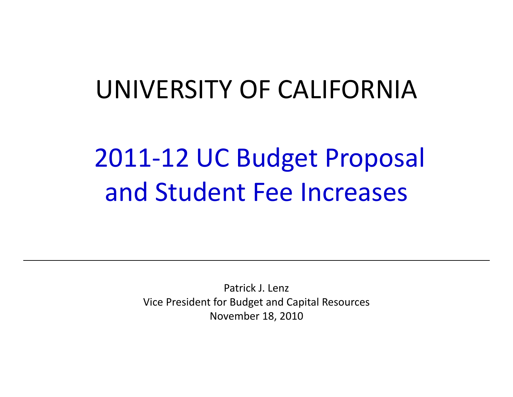## UNIVERSITY OF CALIFORNIA

# 2011‐12 UC Budget Proposal and Student Fee Increases

Patrick J. Lenz Vice President for Budget and Capital Resources November 18, 2010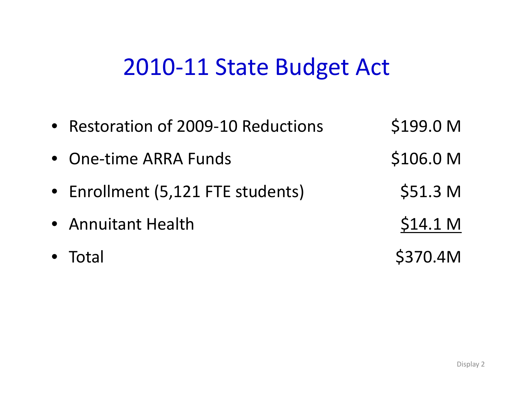#### 2010‐11 State Budget Act

| • Restoration of 2009-10 Reductions | \$199.0 M           |
|-------------------------------------|---------------------|
| • One-time ARRA Funds               | \$106.0 M           |
| • Enrollment (5,121 FTE students)   | \$51.3 <sub>M</sub> |
| • Annuitant Health                  | \$14.1 <sub>M</sub> |
| $\bullet$ Total                     | \$370.4M            |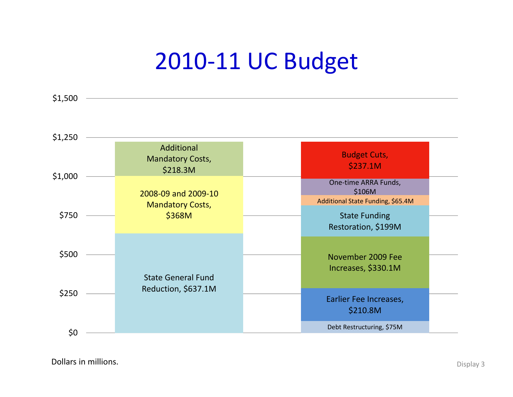## 2010‐11 UC Budget

AdditionalMandatory Costs, \$218.3M \$ Budget Cuts, \$237.1M \$ \$1,000 \$1,250 2008‐09 and 2009‐10 Mandatory Costs, \$368M State Funding Restoration, \$199M One‐time ARRA Funds, \$106M \$750 Additional State Funding, \$65.4M November 2009 Fee Increases, \$330.1M \$500 State General FundReduction, \$637.1M Earlier Fee Increases, \$210.8M \$250  $\diamondsuit0$  . The contract of the contract of the contract of the contract of the contract of the contract of the contract of the contract of the contract of the contract of the contract of the contract of the contract of the c

Dollars in**n millions.** Display 3

\$1,500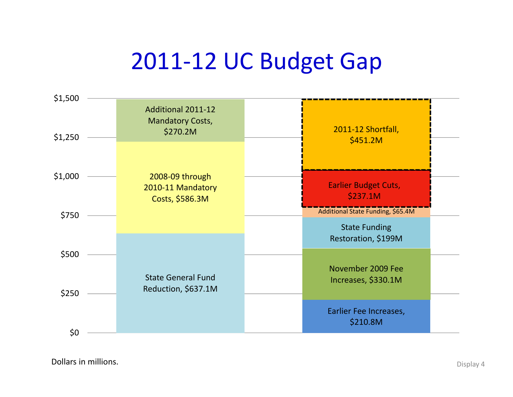## 2011‐12 UC Budget Gap



Dollars in**n millions.** Display 4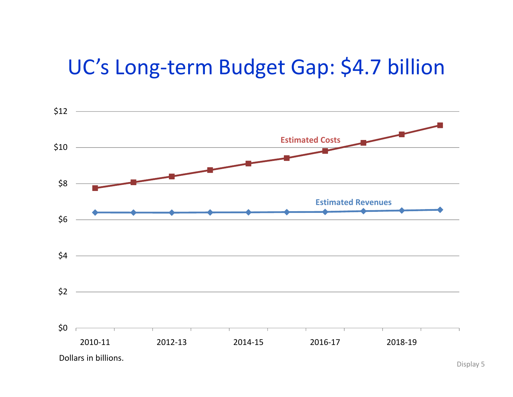#### UC's Long-term Budget Gap: \$4.7 billion

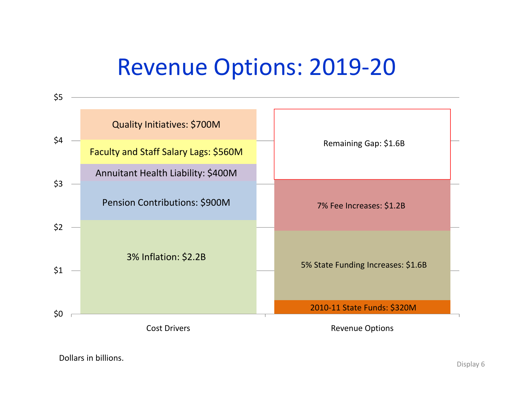#### Revenue Options: 2019‐20

| \$5 |                                       |                                    |  |
|-----|---------------------------------------|------------------------------------|--|
|     | <b>Quality Initiatives: \$700M</b>    |                                    |  |
| \$4 | Faculty and Staff Salary Lags: \$560M | Remaining Gap: \$1.6B              |  |
|     | Annuitant Health Liability: \$400M    |                                    |  |
| \$3 | Pension Contributions: \$900M         | 7% Fee Increases: \$1.2B           |  |
| \$2 |                                       |                                    |  |
| \$1 | 3% Inflation: \$2.2B                  | 5% State Funding Increases: \$1.6B |  |
|     |                                       |                                    |  |
| \$0 |                                       | 2010-11 State Funds: \$320M        |  |
|     | <b>Cost Drivers</b>                   | <b>Revenue Options</b>             |  |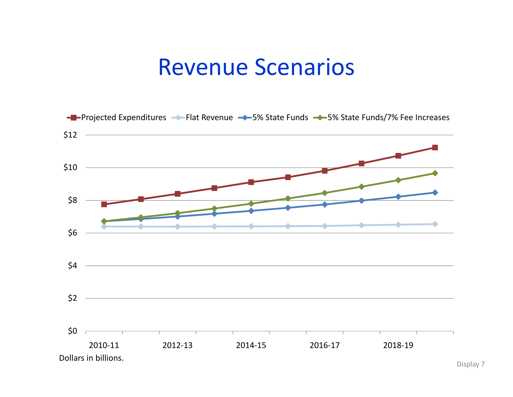#### Revenue Scenarios



Display 7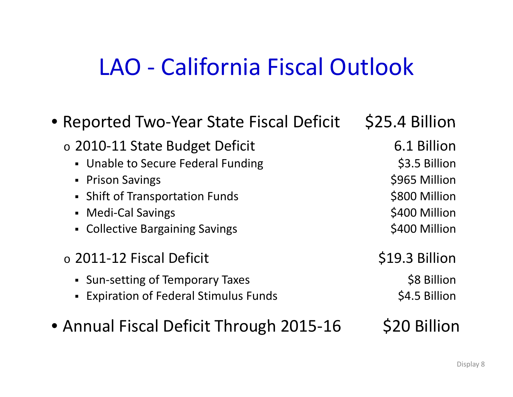## LAO ‐ California Fiscal Outlook

| • Reported Two-Year State Fiscal Deficit    | \$25.4 Billion |
|---------------------------------------------|----------------|
| $\circ$ 2010-11 State Budget Deficit        | 6.1 Billion    |
| • Unable to Secure Federal Funding          | \$3.5 Billion  |
| • Prison Savings                            | \$965 Million  |
| • Shift of Transportation Funds             | \$800 Million  |
| • Medi-Cal Savings                          | \$400 Million  |
| • Collective Bargaining Savings             | \$400 Million  |
| $\circ$ 2011-12 Fiscal Deficit              | \$19.3 Billion |
| • Sun-setting of Temporary Taxes            | \$8 Billion    |
| <b>Expiration of Federal Stimulus Funds</b> | \$4.5 Billion  |
| • Annual Fiscal Deficit Through 2015-16     | \$20 Billion   |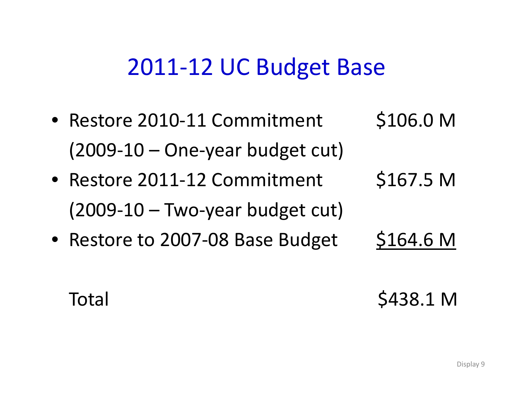#### 2011‐12 UC Budget Base

• Restore 2010-11 Commitment \$106.0 M  $(2009-10 -$ One-year budget cut) • Restore 2011-12 Commi  $$167.5<sub>M</sub>$ 

 $(2009-10 - Two-year budget cut)$ 

• Restore to 2007-08 Base Budget \$164.6 M

Total \$438.1 M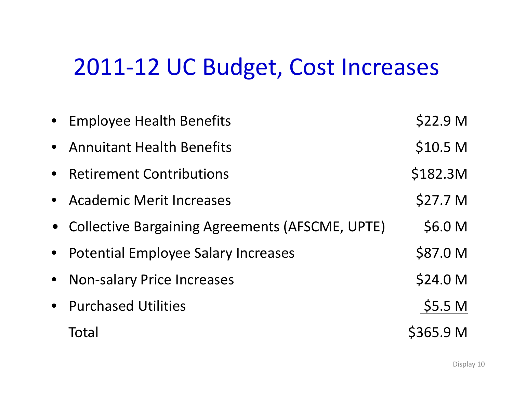#### 2011‐12 UC Budget, Cost Increases

| • Employee Health Benefits                        | \$22.9 <sub>M</sub> |
|---------------------------------------------------|---------------------|
| • Annuitant Health Benefits                       | \$10.5 <sub>M</sub> |
| • Retirement Contributions                        | \$182.3M            |
| • Academic Merit Increases                        | \$27.7 M            |
| • Collective Bargaining Agreements (AFSCME, UPTE) | \$6.0 M             |
| • Potential Employee Salary Increases             | \$87.0 M            |
| • Non-salary Price Increases                      | \$24.0 M            |
| • Purchased Utilities                             | \$5.5 M             |
| Total                                             | \$365.9 M           |
|                                                   |                     |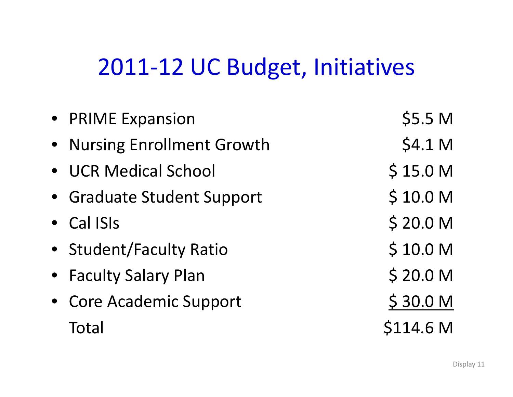## 2011‐12 UC Budget, Initiatives

| • PRIME Expansion           | \$5.5 M             |
|-----------------------------|---------------------|
| • Nursing Enrollment Growth | \$4.1 M             |
| • UCR Medical School        | \$15.0 <sub>M</sub> |
| • Graduate Student Support  | \$10.0 <sub>M</sub> |
| • Cal ISIs                  | \$20.0 M            |
| • Student/Faculty Ratio     | \$10.0 M            |
| • Faculty Salary Plan       | \$20.0 M            |
| • Core Academic Support     | \$30.0 M            |
| Total                       | \$114.6 M           |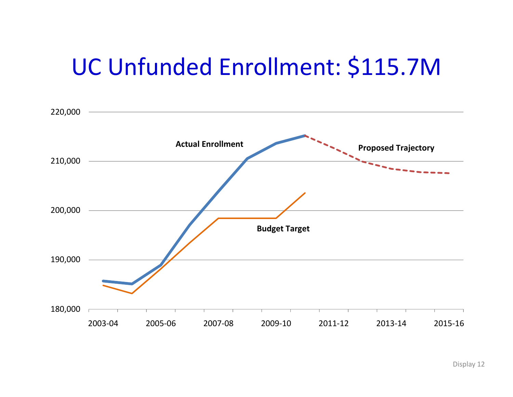## UC Unfunded Enrollment: \$115.7M

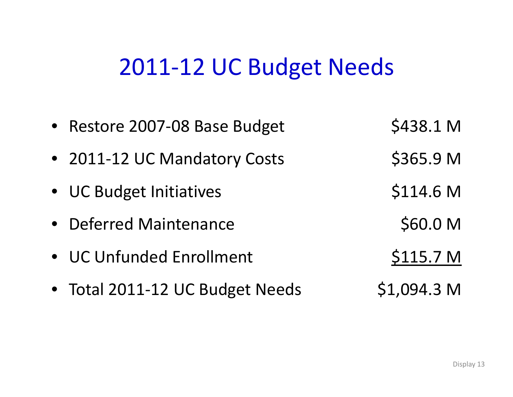#### 2011‐12 UC Budget Needs

| • Restore 2007-08 Base Budget   | \$438.1 M            |
|---------------------------------|----------------------|
| • 2011-12 UC Mandatory Costs    | \$365.9 M            |
| • UC Budget Initiatives         | \$114.6 M            |
| • Deferred Maintenance          | \$60.0 M             |
| • UC Unfunded Enrollment        | \$115.7 <sub>M</sub> |
| • Total 2011-12 UC Budget Needs | \$1,094.3 M          |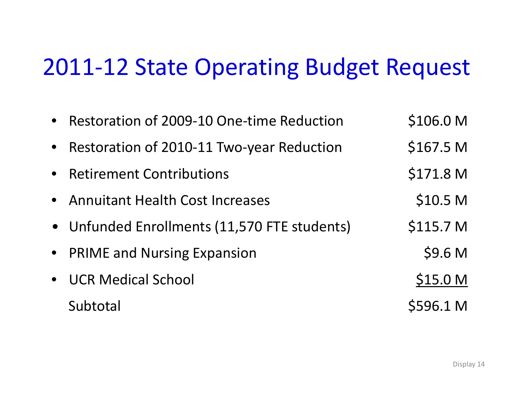#### 2011‐12 State Operating Budget Request

|           | • Restoration of 2009-10 One-time Reduction  | \$106.0 M            |
|-----------|----------------------------------------------|----------------------|
| $\bullet$ | Restoration of 2010-11 Two-year Reduction    | \$167.5 <sub>M</sub> |
|           | • Retirement Contributions                   | \$171.8 <sub>M</sub> |
|           | • Annuitant Health Cost Increases            | \$10.5 <sub>M</sub>  |
|           | • Unfunded Enrollments (11,570 FTE students) | \$115.7 <sub>M</sub> |
|           | • PRIME and Nursing Expansion                | \$9.6 M              |
|           | • UCR Medical School                         | \$15.0 M             |
|           | Subtotal                                     | \$596.1 M            |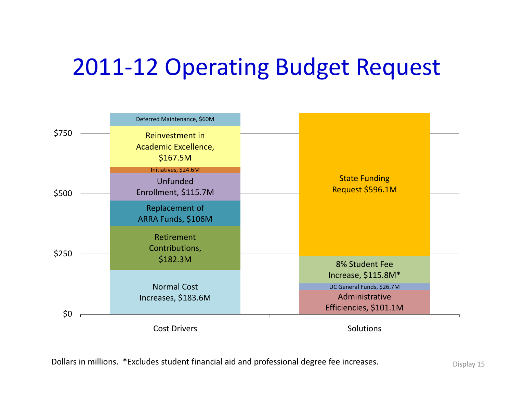## 2011‐12 Operating Budget Request

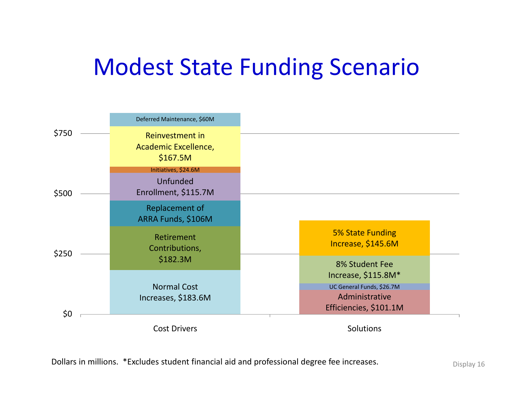## Modest State Funding Scenario

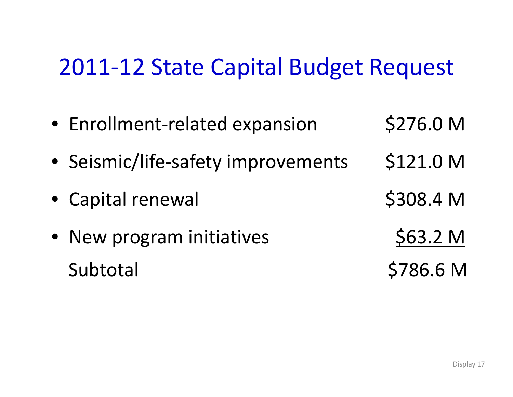#### 2011‐12 State Capital Budget Request

• Enrollment-related expansion \$276.0 M • Seismic/life-safety improvements \$121.0 M • Capital renewal \$308.4 <sup>M</sup> • New program initiatives **\$63.2 M** Subtotal \$786.6 M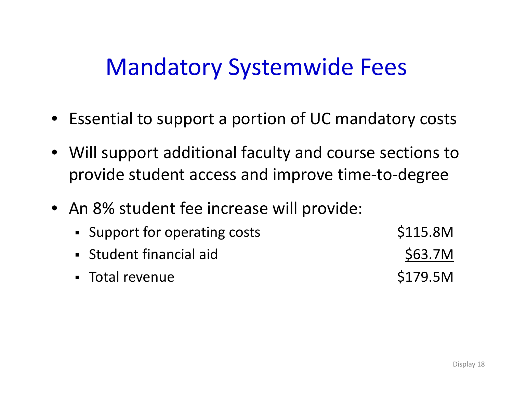#### Mandatory Systemwide Fees

- Essential to support <sup>a</sup> portion of UC mandatory costs
- Will support additional faculty and course sections to provide student access and improve time‐to‐degree
- An 8% student fee increase will provide:
	- • Support for operating costs **\$115.8M**
	- Student financial aid \$63.7M
	- Total revenue  $$179.5M$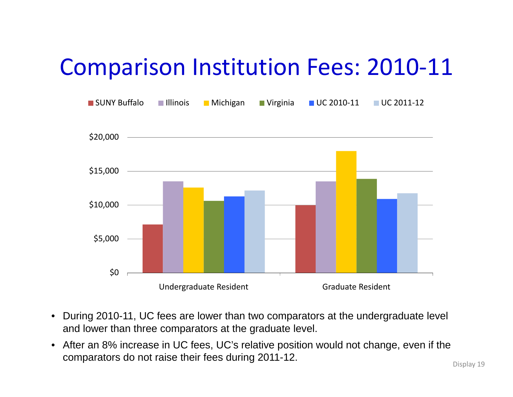## Comparison Institution Fees: 2010‐11



- During 2010-11, UC fees are lower than two comparators at the undergraduate level and lower than three comparators at the graduate level.
- After an 8% increase in UC fees, UC's relative position would not change, even if the comparators do not raise their fees during  $2011-12$ .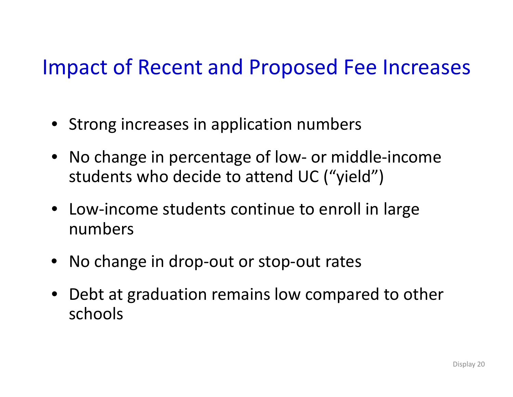#### Impact of Recent and Proposed Fee Increases

- Strong increases in application numbers
- No change in percentage of low‐ or middle‐income students who decide to attend UC ("yield")
- Low‐income students continue to enroll in large numbers
- No change in drop‐out or stop‐out rates
- Debt at graduation remains low compared to other schools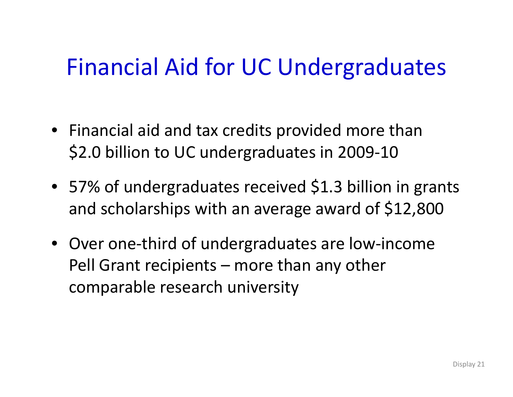## Financial Aid for UC Undergraduates

- Financial aid and tax credits provided more than \$2.0 billion to UC undergraduates in 2009-10
- 57% of undergraduates received \$1.3 billion in grants and scholarships with an average award of \$12,800
- Over one‐third of undergraduates are low‐income Pell Grant recipients – more than any other comparable research university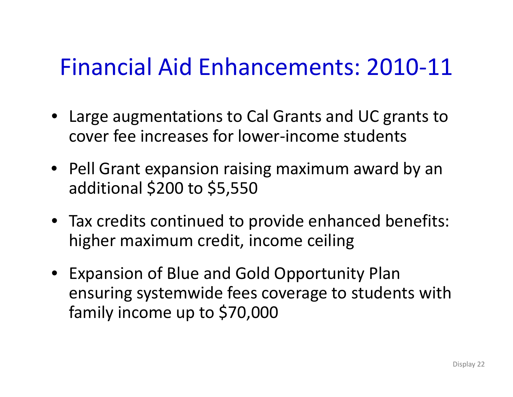## Financial Aid Enhancements: 2010‐11

- Large augmentations to Cal Grants and UC grants to cover fee increases for lower‐income students
- Pell Grant expansion raising maximum award by an additional \$200 to \$5,550
- Tax credits continued to provide enhanced benefits: higher maximum credit, income ceiling
- Expansion of Blue and Gold Opportunity Plan ensuring systemwide fees coverage to students with family income up to \$70,000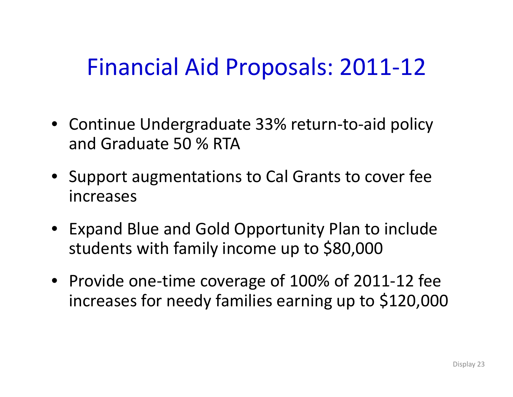## Financial Aid Proposals: 2011‐12

- Continue Undergraduate 33% return‐to‐aid policy and Graduate 50 % RTA
- Support augmentations to Cal Grants to cover fee increases
- Expand Blue and Gold Opportunity Plan to include students with family income up to \$80,000
- Provide one‐time coverage of 100% of 2011‐12 fee increases for needy families earning up to \$120,000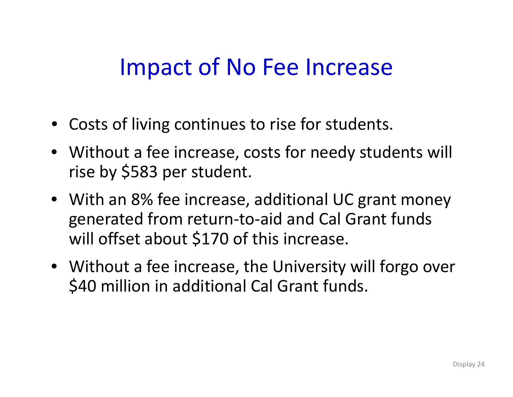### Impact of No Fee Increase

- Costs of living continues to rise for students.
- Without <sup>a</sup> fee increase, costs for needy students will rise by \$583 per student.
- With an 8% fee increase, additional UC grant money generated from return‐to‐aid and Cal Grant funds will offset about \$170 of this increase.
- Without <sup>a</sup> fee increase, the University will forgo over \$40 million in additional Cal Grant funds.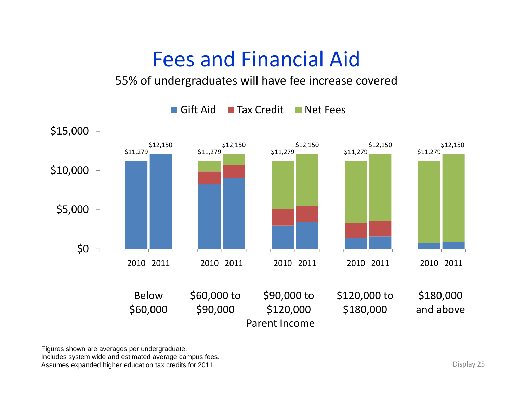#### Fees and Financial Aid

#### 55% of undergraduates will have fee increase covered



Figures shown are averages per undergraduate.

Includes system wide and estimated average campus fees. Assumes expanded higher education tax credits for 2011.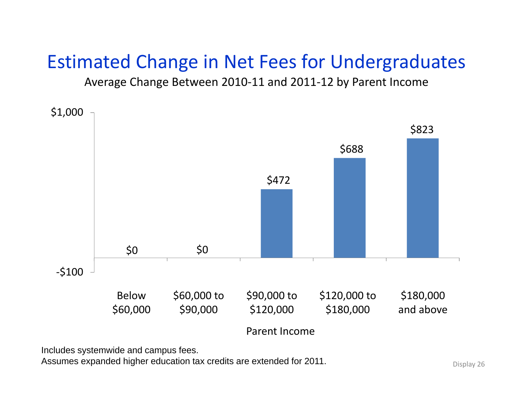#### Estimated Change in Net Fees for Undergraduates

Average Change Between 2010‐11 and 2011‐12 by Parent Income



Includes systemwide and campus fees.

Assumes expanded higher education tax credits are extended for 2011. Display 26 Display 26